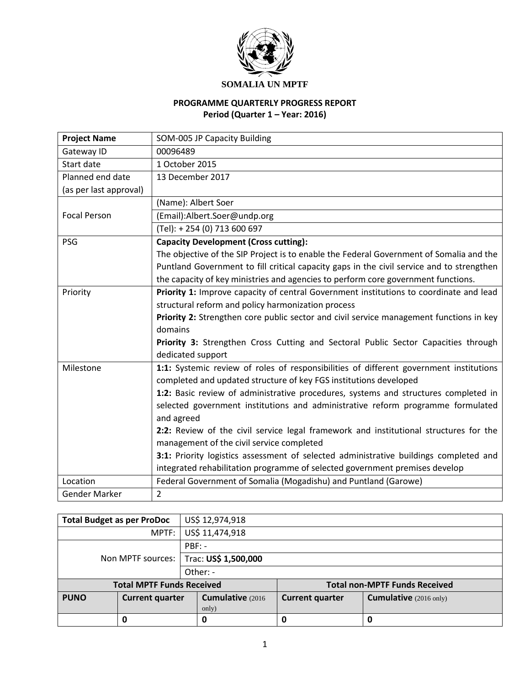

# **PROGRAMME QUARTERLY PROGRESS REPORT Period (Quarter 1 – Year: 2016)**

| <b>Project Name</b>    | SOM-005 JP Capacity Building                                                              |
|------------------------|-------------------------------------------------------------------------------------------|
| Gateway ID             | 00096489                                                                                  |
| Start date             | 1 October 2015                                                                            |
| Planned end date       | 13 December 2017                                                                          |
| (as per last approval) |                                                                                           |
|                        | (Name): Albert Soer                                                                       |
| <b>Focal Person</b>    | (Email):Albert.Soer@undp.org                                                              |
|                        | (Tel): +254 (0) 713 600 697                                                               |
| <b>PSG</b>             | <b>Capacity Development (Cross cutting):</b>                                              |
|                        | The objective of the SIP Project is to enable the Federal Government of Somalia and the   |
|                        | Puntland Government to fill critical capacity gaps in the civil service and to strengthen |
|                        | the capacity of key ministries and agencies to perform core government functions.         |
| Priority               | Priority 1: Improve capacity of central Government institutions to coordinate and lead    |
|                        | structural reform and policy harmonization process                                        |
|                        | Priority 2: Strengthen core public sector and civil service management functions in key   |
|                        | domains                                                                                   |
|                        | Priority 3: Strengthen Cross Cutting and Sectoral Public Sector Capacities through        |
|                        | dedicated support                                                                         |
| Milestone              | 1:1: Systemic review of roles of responsibilities of different government institutions    |
|                        | completed and updated structure of key FGS institutions developed                         |
|                        | 1:2: Basic review of administrative procedures, systems and structures completed in       |
|                        | selected government institutions and administrative reform programme formulated           |
|                        | and agreed                                                                                |
|                        | 2:2: Review of the civil service legal framework and institutional structures for the     |
|                        | management of the civil service completed                                                 |
|                        | 3:1: Priority logistics assessment of selected administrative buildings completed and     |
|                        | integrated rehabilitation programme of selected government premises develop               |
| Location               | Federal Government of Somalia (Mogadishu) and Puntland (Garowe)                           |
| <b>Gender Marker</b>   | $\overline{2}$                                                                            |

| <b>Total Budget as per ProDoc</b> |                                  | US\$ 12,974,918      |                        |                                      |
|-----------------------------------|----------------------------------|----------------------|------------------------|--------------------------------------|
|                                   | MPTF:                            | US\$ 11,474,918      |                        |                                      |
| Non MPTF sources:                 |                                  | $PBF: -$             |                        |                                      |
|                                   |                                  | Trac: US\$ 1,500,000 |                        |                                      |
|                                   |                                  | Other: -             |                        |                                      |
|                                   | <b>Total MPTF Funds Received</b> |                      |                        | <b>Total non-MPTF Funds Received</b> |
| <b>PUNO</b>                       | <b>Current quarter</b>           | Cumulative (2016)    | <b>Current quarter</b> | <b>Cumulative</b> (2016 only)        |
|                                   |                                  | only)                |                        |                                      |
|                                   | O                                | 0                    | 0                      | 0                                    |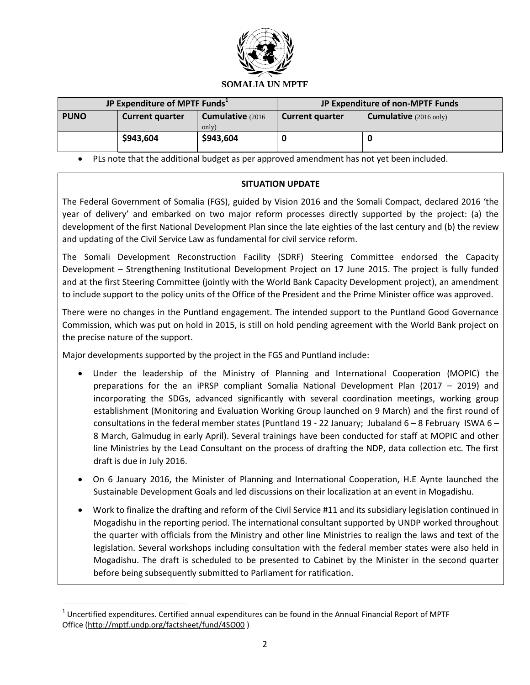

| JP Expenditure of MPTF Funds <sup>1</sup> |                        |                            | JP Expenditure of non-MPTF Funds |                                         |
|-------------------------------------------|------------------------|----------------------------|----------------------------------|-----------------------------------------|
| <b>PUNO</b>                               | <b>Current quarter</b> | Cumulative (2016)<br>only) | <b>Current quarter</b>           | <b>Cumulative</b> $(2016 \text{ only})$ |
|                                           | \$943,604              | \$943,604                  |                                  |                                         |

PLs note that the additional budget as per approved amendment has not yet been included.

### **SITUATION UPDATE**

The Federal Government of Somalia (FGS), guided by Vision 2016 and the Somali Compact, declared 2016 'the year of delivery' and embarked on two major reform processes directly supported by the project: (a) the development of the first National Development Plan since the late eighties of the last century and (b) the review and updating of the Civil Service Law as fundamental for civil service reform.

The Somali Development Reconstruction Facility (SDRF) Steering Committee endorsed the Capacity Development – Strengthening Institutional Development Project on 17 June 2015. The project is fully funded and at the first Steering Committee (jointly with the World Bank Capacity Development project), an amendment to include support to the policy units of the Office of the President and the Prime Minister office was approved.

There were no changes in the Puntland engagement. The intended support to the Puntland Good Governance Commission, which was put on hold in 2015, is still on hold pending agreement with the World Bank project on the precise nature of the support.

Major developments supported by the project in the FGS and Puntland include:

- Under the leadership of the Ministry of Planning and International Cooperation (MOPIC) the preparations for the an iPRSP compliant Somalia National Development Plan (2017 – 2019) and incorporating the SDGs, advanced significantly with several coordination meetings, working group establishment (Monitoring and Evaluation Working Group launched on 9 March) and the first round of consultations in the federal member states (Puntland 19 - 22 January; Jubaland 6 – 8 February ISWA 6 – 8 March, Galmudug in early April). Several trainings have been conducted for staff at MOPIC and other line Ministries by the Lead Consultant on the process of drafting the NDP, data collection etc. The first draft is due in July 2016.
- On 6 January 2016, the Minister of Planning and International Cooperation, H.E Aynte launched the Sustainable Development Goals and led discussions on their localization at an event in Mogadishu.
- Work to finalize the drafting and reform of the Civil Service #11 and its subsidiary legislation continued in Mogadishu in the reporting period. The international consultant supported by UNDP worked throughout the quarter with officials from the Ministry and other line Ministries to realign the laws and text of the legislation. Several workshops including consultation with the federal member states were also held in Mogadishu. The draft is scheduled to be presented to Cabinet by the Minister in the second quarter before being subsequently submitted to Parliament for ratification.

 $\overline{a}$ 

 $^1$  Uncertified expenditures. Certified annual expenditures can be found in the Annual Financial Report of MPTF Office [\(http://mptf.undp.org/factsheet/fund/4SO00](http://mptf.undp.org/factsheet/fund/4SO00) )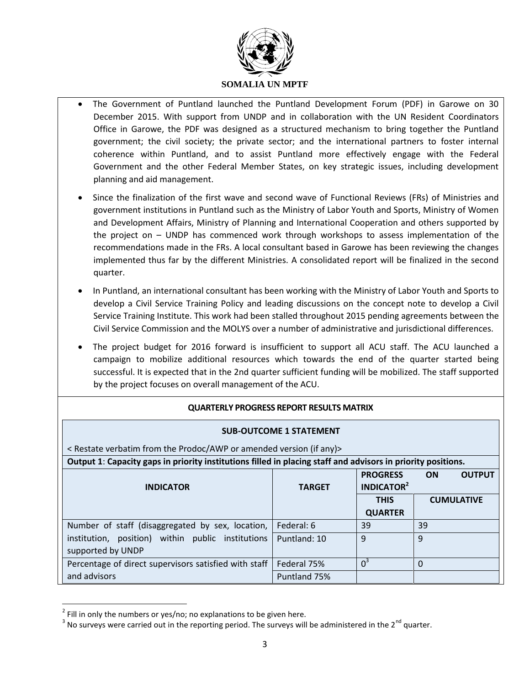

- The Government of Puntland launched the Puntland Development Forum (PDF) in Garowe on 30 December 2015. With support from UNDP and in collaboration with the UN Resident Coordinators Office in Garowe, the PDF was designed as a structured mechanism to bring together the Puntland government; the civil society; the private sector; and the international partners to foster internal coherence within Puntland, and to assist Puntland more effectively engage with the Federal Government and the other Federal Member States, on key strategic issues, including development planning and aid management.
- Since the finalization of the first wave and second wave of Functional Reviews (FRs) of Ministries and government institutions in Puntland such as the Ministry of Labor Youth and Sports, Ministry of Women and Development Affairs, Ministry of Planning and International Cooperation and others supported by the project on – UNDP has commenced work through workshops to assess implementation of the recommendations made in the FRs. A local consultant based in Garowe has been reviewing the changes implemented thus far by the different Ministries. A consolidated report will be finalized in the second quarter.
- In Puntland, an international consultant has been working with the Ministry of Labor Youth and Sports to develop a Civil Service Training Policy and leading discussions on the concept note to develop a Civil Service Training Institute. This work had been stalled throughout 2015 pending agreements between the Civil Service Commission and the MOLYS over a number of administrative and jurisdictional differences.
- The project budget for 2016 forward is insufficient to support all ACU staff. The ACU launched a campaign to mobilize additional resources which towards the end of the quarter started being successful. It is expected that in the 2nd quarter sufficient funding will be mobilized. The staff supported by the project focuses on overall management of the ACU.

### **QUARTERLY PROGRESS REPORT RESULTS MATRIX**

#### **SUB-OUTCOME 1 STATEMENT**

| < Restate verbatim from the Prodoc/AWP or amended version (if any)                                           |               |                                                 |                            |
|--------------------------------------------------------------------------------------------------------------|---------------|-------------------------------------------------|----------------------------|
| Output 1: Capacity gaps in priority institutions filled in placing staff and advisors in priority positions. |               |                                                 |                            |
| <b>INDICATOR</b>                                                                                             | <b>TARGET</b> | <b>PROGRESS</b><br><b>INDICATOR<sup>2</sup></b> | <b>OUTPUT</b><br><b>ON</b> |
|                                                                                                              |               | <b>THIS</b>                                     | <b>CUMULATIVE</b>          |
|                                                                                                              |               | <b>QUARTER</b>                                  |                            |
| Number of staff (disaggregated by sex, location,                                                             | Federal: 6    | 39                                              | 39                         |
| institution, position) within public institutions                                                            | Puntland: 10  | q                                               | 9                          |
| supported by UNDP                                                                                            |               |                                                 |                            |
| Percentage of direct supervisors satisfied with staff                                                        | Federal 75%   | $0^3$                                           | 0                          |
| and advisors                                                                                                 | Puntland 75%  |                                                 |                            |

 $^{2}$  Fill in only the numbers or yes/no; no explanations to be given here.

 $\overline{a}$ 

 $3$  No surveys were carried out in the reporting period. The surveys will be administered in the 2<sup>nd</sup> quarter.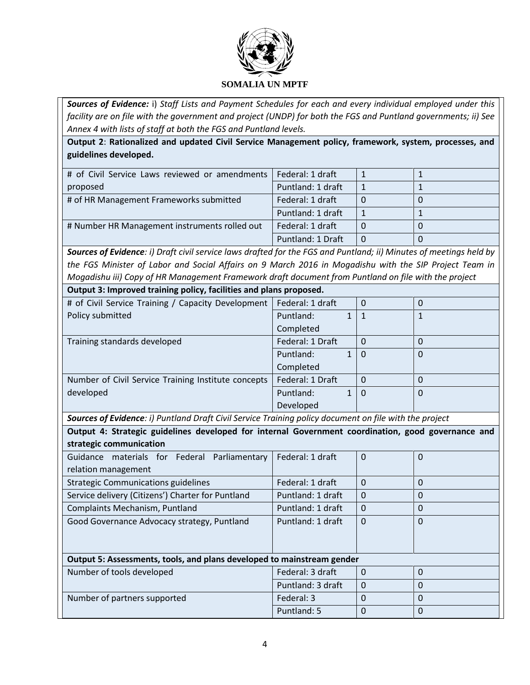

*Sources of Evidence:* i) *Staff Lists and Payment Schedules for each and every individual employed under this facility are on file with the government and project (UNDP) for both the FGS and Puntland governments; ii) See Annex 4 with lists of staff at both the FGS and Puntland levels.*

**Output 2**: **Rationalized and updated Civil Service Management policy, framework, system, processes, and guidelines developed.**

| # of Civil Service Laws reviewed or amendments | Federal: 1 draft  |  |
|------------------------------------------------|-------------------|--|
| proposed                                       | Puntland: 1 draft |  |
| # of HR Management Frameworks submitted        | Federal: 1 draft  |  |
|                                                | Puntland: 1 draft |  |
| # Number HR Management instruments rolled out  | Federal: 1 draft  |  |
|                                                | Puntland: 1 Draft |  |

*Sources of Evidence: i) Draft civil service laws drafted for the FGS and Puntland; ii) Minutes of meetings held by the FGS Minister of Labor and Social Affairs on 9 March 2016 in Mogadishu with the SIP Project Team in Mogadishu iii) Copy of HR Management Framework draft document from Puntland on file with the project*

| Output 3: Improved training policy, facilities and plans proposed. |                  |  |          |   |
|--------------------------------------------------------------------|------------------|--|----------|---|
| # of Civil Service Training / Capacity Development                 | Federal: 1 draft |  | 0        | 0 |
| Policy submitted                                                   | Puntland:        |  |          |   |
|                                                                    | Completed        |  |          |   |
| Training standards developed                                       | Federal: 1 Draft |  | 0        |   |
|                                                                    | Puntland:        |  | $\Omega$ | 0 |
|                                                                    | Completed        |  |          |   |
| Number of Civil Service Training Institute concepts                | Federal: 1 Draft |  | 0        | 0 |
| developed                                                          | Puntland:        |  | 0        | 0 |
|                                                                    | Developed        |  |          |   |

*Sources of Evidence: i) Puntland Draft Civil Service Training policy document on file with the project* 

**Output 4: Strategic guidelines developed for internal Government coordination, good governance and strategic communication**

| $300$ algebro communication                                            |                   |          |          |
|------------------------------------------------------------------------|-------------------|----------|----------|
| Guidance materials for Federal Parliamentary                           | Federal: 1 draft  | $\Omega$ | 0        |
| relation management                                                    |                   |          |          |
| <b>Strategic Communications guidelines</b>                             | Federal: 1 draft  | $\Omega$ | 0        |
| Service delivery (Citizens') Charter for Puntland                      | Puntland: 1 draft | $\Omega$ | 0        |
| <b>Complaints Mechanism, Puntland</b>                                  | Puntland: 1 draft | 0        | 0        |
| Good Governance Advocacy strategy, Puntland                            | Puntland: 1 draft | $\Omega$ | $\Omega$ |
|                                                                        |                   |          |          |
|                                                                        |                   |          |          |
| Output 5: Assessments, tools, and plans developed to mainstream gender |                   |          |          |
| Number of tools developed                                              | Federal: 3 draft  | $\Omega$ | 0        |
|                                                                        | Puntland: 3 draft | $\Omega$ | 0        |
| Number of partners supported                                           | Federal: 3        | $\Omega$ | 0        |
|                                                                        | Puntland: 5       | 0        | 0        |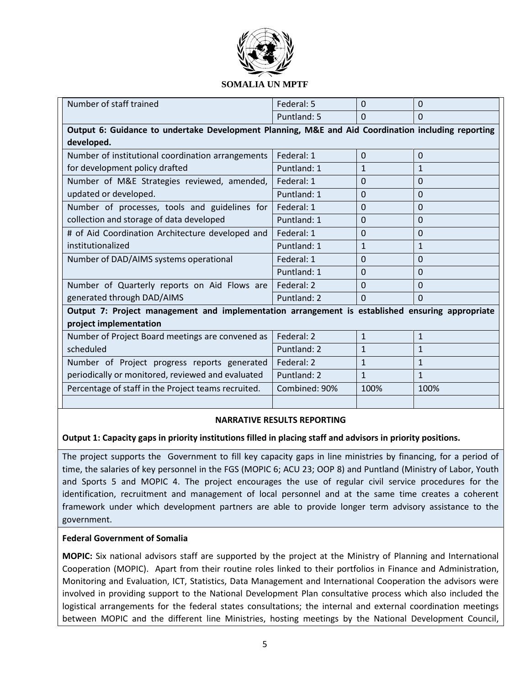

| Number of staff trained                                                                         | Federal: 5                                                                                         | $\Omega$     | $\Omega$     |  |  |
|-------------------------------------------------------------------------------------------------|----------------------------------------------------------------------------------------------------|--------------|--------------|--|--|
|                                                                                                 | Puntland: 5                                                                                        | $\Omega$     | $\Omega$     |  |  |
|                                                                                                 | Output 6: Guidance to undertake Development Planning, M&E and Aid Coordination including reporting |              |              |  |  |
| developed.                                                                                      |                                                                                                    |              |              |  |  |
| Number of institutional coordination arrangements                                               | Federal: 1                                                                                         | $\Omega$     | $\mathbf{0}$ |  |  |
| for development policy drafted                                                                  | Puntland: 1                                                                                        | 1            | $\mathbf{1}$ |  |  |
| Number of M&E Strategies reviewed, amended,                                                     | Federal: 1                                                                                         | $\Omega$     | $\Omega$     |  |  |
| updated or developed.                                                                           | Puntland: 1                                                                                        | $\Omega$     | $\Omega$     |  |  |
| Number of processes, tools and guidelines for                                                   | Federal: 1                                                                                         | $\Omega$     | $\Omega$     |  |  |
| collection and storage of data developed                                                        | Puntland: 1                                                                                        | $\Omega$     | $\Omega$     |  |  |
| # of Aid Coordination Architecture developed and                                                | Federal: 1                                                                                         | $\Omega$     | $\Omega$     |  |  |
| institutionalized                                                                               | Puntland: 1                                                                                        | $\mathbf{1}$ | $\mathbf{1}$ |  |  |
| Number of DAD/AIMS systems operational                                                          | Federal: 1                                                                                         | $\Omega$     | $\Omega$     |  |  |
|                                                                                                 | Puntland: 1                                                                                        | $\Omega$     | $\Omega$     |  |  |
| Number of Quarterly reports on Aid Flows are                                                    | Federal: 2                                                                                         | $\Omega$     | $\Omega$     |  |  |
| generated through DAD/AIMS                                                                      | Puntland: 2                                                                                        | $\Omega$     | $\Omega$     |  |  |
| Output 7: Project management and implementation arrangement is established ensuring appropriate |                                                                                                    |              |              |  |  |
| project implementation                                                                          |                                                                                                    |              |              |  |  |
| Number of Project Board meetings are convened as                                                | Federal: 2                                                                                         | $\mathbf{1}$ | $\mathbf{1}$ |  |  |
| scheduled                                                                                       | Puntland: 2                                                                                        | $\mathbf{1}$ | $\mathbf{1}$ |  |  |
| Number of Project progress reports generated                                                    | Federal: 2                                                                                         | $\mathbf{1}$ | $\mathbf{1}$ |  |  |
| periodically or monitored, reviewed and evaluated                                               | Puntland: 2                                                                                        | $\mathbf{1}$ | $\mathbf{1}$ |  |  |
| Percentage of staff in the Project teams recruited.                                             | Combined: 90%                                                                                      | 100%         | 100%         |  |  |
|                                                                                                 |                                                                                                    |              |              |  |  |

### **NARRATIVE RESULTS REPORTING**

### **Output 1: Capacity gaps in priority institutions filled in placing staff and advisors in priority positions.**

The project supports the Government to fill key capacity gaps in line ministries by financing, for a period of time, the salaries of key personnel in the FGS (MOPIC 6; ACU 23; OOP 8) and Puntland (Ministry of Labor, Youth and Sports 5 and MOPIC 4. The project encourages the use of regular civil service procedures for the identification, recruitment and management of local personnel and at the same time creates a coherent framework under which development partners are able to provide longer term advisory assistance to the government.

### **Federal Government of Somalia**

**MOPIC:** Six national advisors staff are supported by the project at the Ministry of Planning and International Cooperation (MOPIC). Apart from their routine roles linked to their portfolios in Finance and Administration, Monitoring and Evaluation, ICT, Statistics, Data Management and International Cooperation the advisors were involved in providing support to the National Development Plan consultative process which also included the logistical arrangements for the federal states consultations; the internal and external coordination meetings between MOPIC and the different line Ministries, hosting meetings by the National Development Council,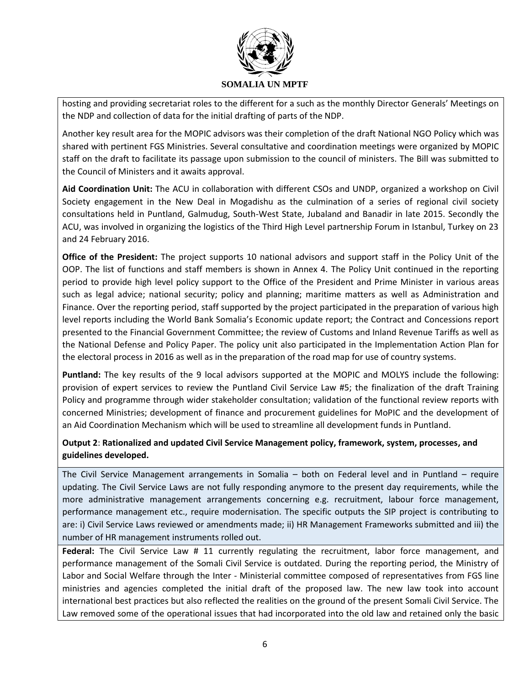

hosting and providing secretariat roles to the different for a such as the monthly Director Generals' Meetings on the NDP and collection of data for the initial drafting of parts of the NDP.

Another key result area for the MOPIC advisors was their completion of the draft National NGO Policy which was shared with pertinent FGS Ministries. Several consultative and coordination meetings were organized by MOPIC staff on the draft to facilitate its passage upon submission to the council of ministers. The Bill was submitted to the Council of Ministers and it awaits approval.

**Aid Coordination Unit:** The ACU in collaboration with different CSOs and UNDP, organized a workshop on Civil Society engagement in the New Deal in Mogadishu as the culmination of a series of regional civil society consultations held in Puntland, Galmudug, South-West State, Jubaland and Banadir in late 2015. Secondly the ACU, was involved in organizing the logistics of the Third High Level partnership Forum in Istanbul, Turkey on 23 and 24 February 2016.

**Office of the President:** The project supports 10 national advisors and support staff in the Policy Unit of the OOP. The list of functions and staff members is shown in Annex 4. The Policy Unit continued in the reporting period to provide high level policy support to the Office of the President and Prime Minister in various areas such as legal advice; national security; policy and planning; maritime matters as well as Administration and Finance. Over the reporting period, staff supported by the project participated in the preparation of various high level reports including the World Bank Somalia's Economic update report; the Contract and Concessions report presented to the Financial Government Committee; the review of Customs and Inland Revenue Tariffs as well as the National Defense and Policy Paper. The policy unit also participated in the Implementation Action Plan for the electoral process in 2016 as well as in the preparation of the road map for use of country systems.

**Puntland:** The key results of the 9 local advisors supported at the MOPIC and MOLYS include the following: provision of expert services to review the Puntland Civil Service Law #5; the finalization of the draft Training Policy and programme through wider stakeholder consultation; validation of the functional review reports with concerned Ministries; development of finance and procurement guidelines for MoPIC and the development of an Aid Coordination Mechanism which will be used to streamline all development funds in Puntland.

## **Output 2**: **Rationalized and updated Civil Service Management policy, framework, system, processes, and guidelines developed.**

The Civil Service Management arrangements in Somalia – both on Federal level and in Puntland – require updating. The Civil Service Laws are not fully responding anymore to the present day requirements, while the more administrative management arrangements concerning e.g. recruitment, labour force management, performance management etc., require modernisation. The specific outputs the SIP project is contributing to are: i) Civil Service Laws reviewed or amendments made; ii) HR Management Frameworks submitted and iii) the number of HR management instruments rolled out.

**Federal:** The Civil Service Law # 11 currently regulating the recruitment, labor force management, and performance management of the Somali Civil Service is outdated. During the reporting period, the Ministry of Labor and Social Welfare through the Inter - Ministerial committee composed of representatives from FGS line ministries and agencies completed the initial draft of the proposed law. The new law took into account international best practices but also reflected the realities on the ground of the present Somali Civil Service. The Law removed some of the operational issues that had incorporated into the old law and retained only the basic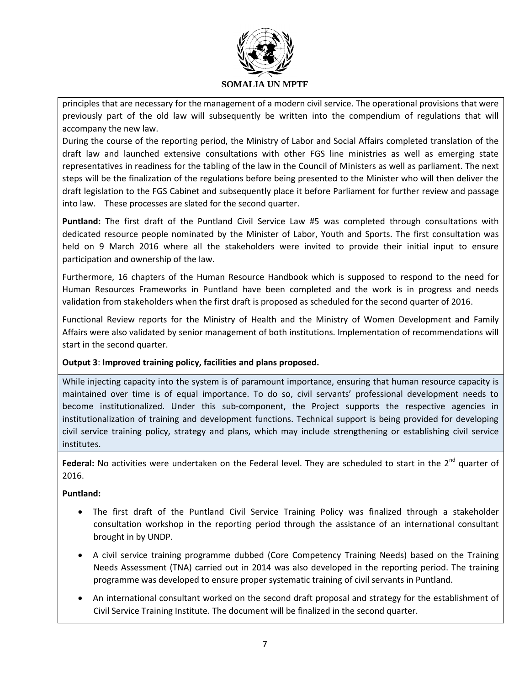

principles that are necessary for the management of a modern civil service. The operational provisions that were previously part of the old law will subsequently be written into the compendium of regulations that will accompany the new law.

During the course of the reporting period, the Ministry of Labor and Social Affairs completed translation of the draft law and launched extensive consultations with other FGS line ministries as well as emerging state representatives in readiness for the tabling of the law in the Council of Ministers as well as parliament. The next steps will be the finalization of the regulations before being presented to the Minister who will then deliver the draft legislation to the FGS Cabinet and subsequently place it before Parliament for further review and passage into law. These processes are slated for the second quarter.

**Puntland:** The first draft of the Puntland Civil Service Law #5 was completed through consultations with dedicated resource people nominated by the Minister of Labor, Youth and Sports. The first consultation was held on 9 March 2016 where all the stakeholders were invited to provide their initial input to ensure participation and ownership of the law.

Furthermore, 16 chapters of the Human Resource Handbook which is supposed to respond to the need for Human Resources Frameworks in Puntland have been completed and the work is in progress and needs validation from stakeholders when the first draft is proposed as scheduled for the second quarter of 2016.

Functional Review reports for the Ministry of Health and the Ministry of Women Development and Family Affairs were also validated by senior management of both institutions. Implementation of recommendations will start in the second quarter.

### **Output 3**: **Improved training policy, facilities and plans proposed.**

While injecting capacity into the system is of paramount importance, ensuring that human resource capacity is maintained over time is of equal importance. To do so, civil servants' professional development needs to become institutionalized. Under this sub-component, the Project supports the respective agencies in institutionalization of training and development functions. Technical support is being provided for developing civil service training policy, strategy and plans, which may include strengthening or establishing civil service institutes.

Federal: No activities were undertaken on the Federal level. They are scheduled to start in the 2<sup>nd</sup> quarter of 2016.

### **Puntland:**

- The first draft of the Puntland Civil Service Training Policy was finalized through a stakeholder consultation workshop in the reporting period through the assistance of an international consultant brought in by UNDP.
- A civil service training programme dubbed (Core Competency Training Needs) based on the Training Needs Assessment (TNA) carried out in 2014 was also developed in the reporting period. The training programme was developed to ensure proper systematic training of civil servants in Puntland.
- An international consultant worked on the second draft proposal and strategy for the establishment of Civil Service Training Institute. The document will be finalized in the second quarter.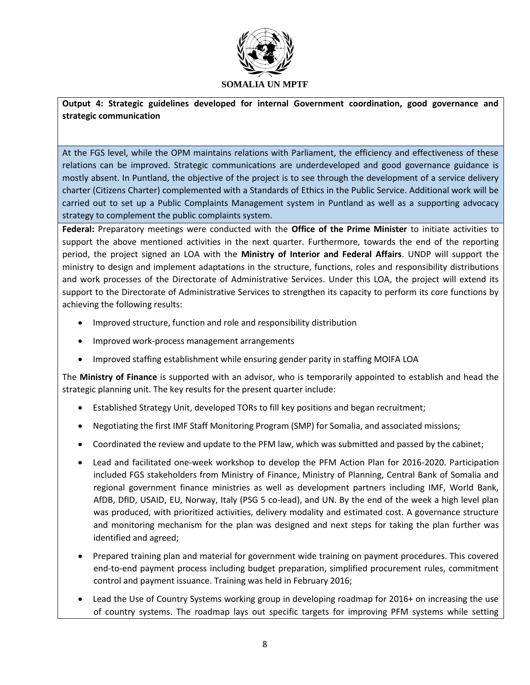

**Output 4: Strategic guidelines developed for internal Government coordination, good governance and strategic communication**

At the FGS level, while the OPM maintains relations with Parliament, the efficiency and effectiveness of these relations can be improved. Strategic communications are underdeveloped and good governance guidance is mostly absent. In Puntland, the objective of the project is to see through the development of a service delivery charter (Citizens Charter) complemented with a Standards of Ethics in the Public Service. Additional work will be carried out to set up a Public Complaints Management system in Puntland as well as a supporting advocacy strategy to complement the public complaints system.

**Federal:** Preparatory meetings were conducted with the **Office of the Prime Minister** to initiate activities to support the above mentioned activities in the next quarter. Furthermore, towards the end of the reporting period, the project signed an LOA with the **Ministry of Interior and Federal Affairs**. UNDP will support the ministry to design and implement adaptations in the structure, functions, roles and responsibility distributions and work processes of the Directorate of Administrative Services. Under this LOA, the project will extend its support to the Directorate of Administrative Services to strengthen its capacity to perform its core functions by achieving the following results:

- Improved structure, function and role and responsibility distribution
- Improved work-process management arrangements
- Improved staffing establishment while ensuring gender parity in staffing MOIFA LOA

The **Ministry of Finance** is supported with an advisor, who is temporarily appointed to establish and head the strategic planning unit. The key results for the present quarter include:

- Established Strategy Unit, developed TORs to fill key positions and began recruitment;
- Negotiating the first IMF Staff Monitoring Program (SMP) for Somalia, and associated missions;
- Coordinated the review and update to the PFM law, which was submitted and passed by the cabinet;
- Lead and facilitated one-week workshop to develop the PFM Action Plan for 2016-2020. Participation included FGS stakeholders from Ministry of Finance, Ministry of Planning, Central Bank of Somalia and regional government finance ministries as well as development partners including IMF, World Bank, AfDB, DfID, USAID, EU, Norway, Italy (PSG 5 co-lead), and UN. By the end of the week a high level plan was produced, with prioritized activities, delivery modality and estimated cost. A governance structure and monitoring mechanism for the plan was designed and next steps for taking the plan further was identified and agreed;
- Prepared training plan and material for government wide training on payment procedures. This covered end-to-end payment process including budget preparation, simplified procurement rules, commitment control and payment issuance. Training was held in February 2016;
- Lead the Use of Country Systems working group in developing roadmap for 2016+ on increasing the use of country systems. The roadmap lays out specific targets for improving PFM systems while setting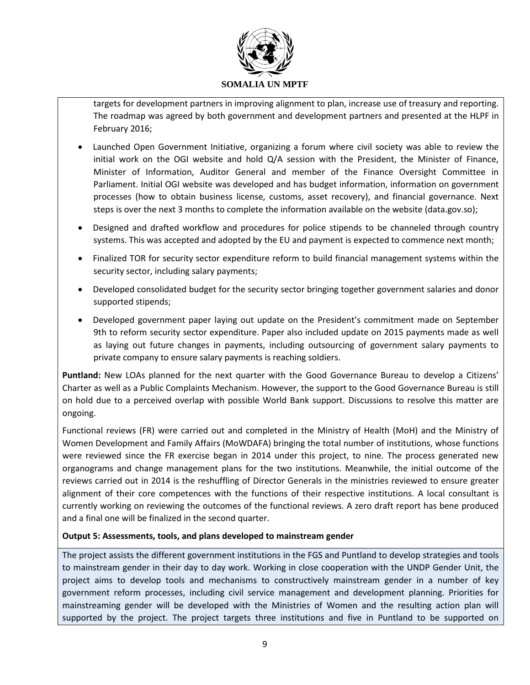

targets for development partners in improving alignment to plan, increase use of treasury and reporting. The roadmap was agreed by both government and development partners and presented at the HLPF in February 2016;

- Launched Open Government Initiative, organizing a forum where civil society was able to review the initial work on the OGI website and hold Q/A session with the President, the Minister of Finance, Minister of Information, Auditor General and member of the Finance Oversight Committee in Parliament. Initial OGI website was developed and has budget information, information on government processes (how to obtain business license, customs, asset recovery), and financial governance. Next steps is over the next 3 months to complete the information available on the website (data.gov.so);
- Designed and drafted workflow and procedures for police stipends to be channeled through country systems. This was accepted and adopted by the EU and payment is expected to commence next month;
- Finalized TOR for security sector expenditure reform to build financial management systems within the security sector, including salary payments;
- Developed consolidated budget for the security sector bringing together government salaries and donor supported stipends;
- Developed government paper laying out update on the President's commitment made on September 9th to reform security sector expenditure. Paper also included update on 2015 payments made as well as laying out future changes in payments, including outsourcing of government salary payments to private company to ensure salary payments is reaching soldiers.

**Puntland:** New LOAs planned for the next quarter with the Good Governance Bureau to develop a Citizens' Charter as well as a Public Complaints Mechanism. However, the support to the Good Governance Bureau is still on hold due to a perceived overlap with possible World Bank support. Discussions to resolve this matter are ongoing.

Functional reviews (FR) were carried out and completed in the Ministry of Health (MoH) and the Ministry of Women Development and Family Affairs (MoWDAFA) bringing the total number of institutions, whose functions were reviewed since the FR exercise began in 2014 under this project, to nine. The process generated new organograms and change management plans for the two institutions. Meanwhile, the initial outcome of the reviews carried out in 2014 is the reshuffling of Director Generals in the ministries reviewed to ensure greater alignment of their core competences with the functions of their respective institutions. A local consultant is currently working on reviewing the outcomes of the functional reviews. A zero draft report has bene produced and a final one will be finalized in the second quarter.

### **Output 5: Assessments, tools, and plans developed to mainstream gender**

The project assists the different government institutions in the FGS and Puntland to develop strategies and tools to mainstream gender in their day to day work. Working in close cooperation with the UNDP Gender Unit, the project aims to develop tools and mechanisms to constructively mainstream gender in a number of key government reform processes, including civil service management and development planning. Priorities for mainstreaming gender will be developed with the Ministries of Women and the resulting action plan will supported by the project. The project targets three institutions and five in Puntland to be supported on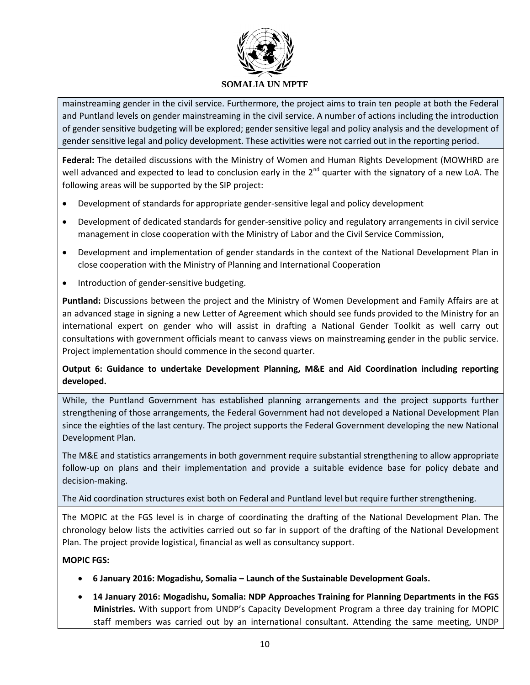

mainstreaming gender in the civil service. Furthermore, the project aims to train ten people at both the Federal and Puntland levels on gender mainstreaming in the civil service. A number of actions including the introduction of gender sensitive budgeting will be explored; gender sensitive legal and policy analysis and the development of gender sensitive legal and policy development. These activities were not carried out in the reporting period.

**Federal:** The detailed discussions with the Ministry of Women and Human Rights Development (MOWHRD are well advanced and expected to lead to conclusion early in the 2<sup>nd</sup> quarter with the signatory of a new LoA. The following areas will be supported by the SIP project:

- Development of standards for appropriate gender-sensitive legal and policy development
- Development of dedicated standards for gender-sensitive policy and regulatory arrangements in civil service management in close cooperation with the Ministry of Labor and the Civil Service Commission,
- Development and implementation of gender standards in the context of the National Development Plan in close cooperation with the Ministry of Planning and International Cooperation
- Introduction of gender-sensitive budgeting.

**Puntland:** Discussions between the project and the Ministry of Women Development and Family Affairs are at an advanced stage in signing a new Letter of Agreement which should see funds provided to the Ministry for an international expert on gender who will assist in drafting a National Gender Toolkit as well carry out consultations with government officials meant to canvass views on mainstreaming gender in the public service. Project implementation should commence in the second quarter.

**Output 6: Guidance to undertake Development Planning, M&E and Aid Coordination including reporting developed.**

While, the Puntland Government has established planning arrangements and the project supports further strengthening of those arrangements, the Federal Government had not developed a National Development Plan since the eighties of the last century. The project supports the Federal Government developing the new National Development Plan.

The M&E and statistics arrangements in both government require substantial strengthening to allow appropriate follow-up on plans and their implementation and provide a suitable evidence base for policy debate and decision-making.

### The Aid coordination structures exist both on Federal and Puntland level but require further strengthening.

The MOPIC at the FGS level is in charge of coordinating the drafting of the National Development Plan. The chronology below lists the activities carried out so far in support of the drafting of the National Development Plan. The project provide logistical, financial as well as consultancy support.

### **MOPIC FGS:**

- **6 January 2016: Mogadishu, Somalia – Launch of the Sustainable Development Goals.**
- **14 January 2016: Mogadishu, Somalia: NDP Approaches Training for Planning Departments in the FGS Ministries.** With support from UNDP's Capacity Development Program a three day training for MOPIC staff members was carried out by an international consultant. Attending the same meeting, UNDP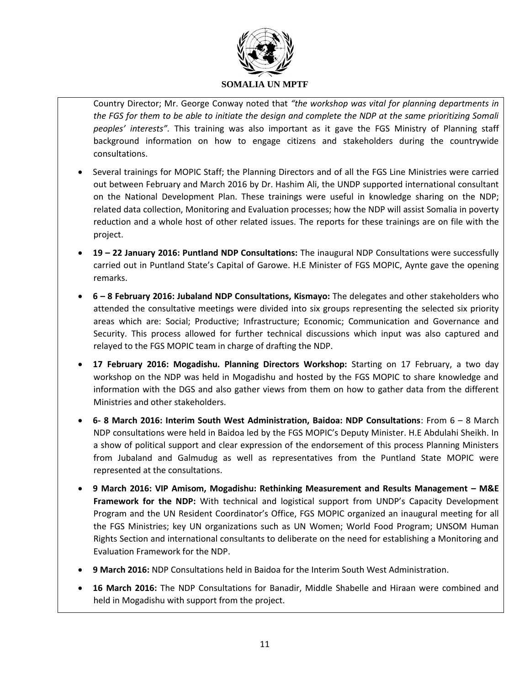

Country Director; Mr. George Conway noted that *"the workshop was vital for planning departments in the FGS for them to be able to initiate the design and complete the NDP at the same prioritizing Somali peoples' interests".* This training was also important as it gave the FGS Ministry of Planning staff background information on how to engage citizens and stakeholders during the countrywide consultations.

- Several trainings for MOPIC Staff; the Planning Directors and of all the FGS Line Ministries were carried out between February and March 2016 by Dr. Hashim Ali, the UNDP supported international consultant on the National Development Plan. These trainings were useful in knowledge sharing on the NDP; related data collection, Monitoring and Evaluation processes; how the NDP will assist Somalia in poverty reduction and a whole host of other related issues. The reports for these trainings are on file with the project.
- **19 – 22 January 2016: Puntland NDP Consultations:** The inaugural NDP Consultations were successfully carried out in Puntland State's Capital of Garowe. H.E Minister of FGS MOPIC, Aynte gave the opening remarks.
- **6 – 8 February 2016: Jubaland NDP Consultations, Kismayo:** The delegates and other stakeholders who attended the consultative meetings were divided into six groups representing the selected six priority areas which are: Social; Productive; Infrastructure; Economic; Communication and Governance and Security. This process allowed for further technical discussions which input was also captured and relayed to the FGS MOPIC team in charge of drafting the NDP.
- **17 February 2016: Mogadishu. Planning Directors Workshop:** Starting on 17 February, a two day workshop on the NDP was held in Mogadishu and hosted by the FGS MOPIC to share knowledge and information with the DGS and also gather views from them on how to gather data from the different Ministries and other stakeholders.
- **6- 8 March 2016: Interim South West Administration, Baidoa: NDP Consultations**: From 6 8 March NDP consultations were held in Baidoa led by the FGS MOPIC's Deputy Minister. H.E Abdulahi Sheikh. In a show of political support and clear expression of the endorsement of this process Planning Ministers from Jubaland and Galmudug as well as representatives from the Puntland State MOPIC were represented at the consultations.
- **9 March 2016: VIP Amisom, Mogadishu: Rethinking Measurement and Results Management – M&E Framework for the NDP:** With technical and logistical support from UNDP's Capacity Development Program and the UN Resident Coordinator's Office, FGS MOPIC organized an inaugural meeting for all the FGS Ministries; key UN organizations such as UN Women; World Food Program; UNSOM Human Rights Section and international consultants to deliberate on the need for establishing a Monitoring and Evaluation Framework for the NDP.
- **9 March 2016:** NDP Consultations held in Baidoa for the Interim South West Administration.
- **16 March 2016:** The NDP Consultations for Banadir, Middle Shabelle and Hiraan were combined and held in Mogadishu with support from the project.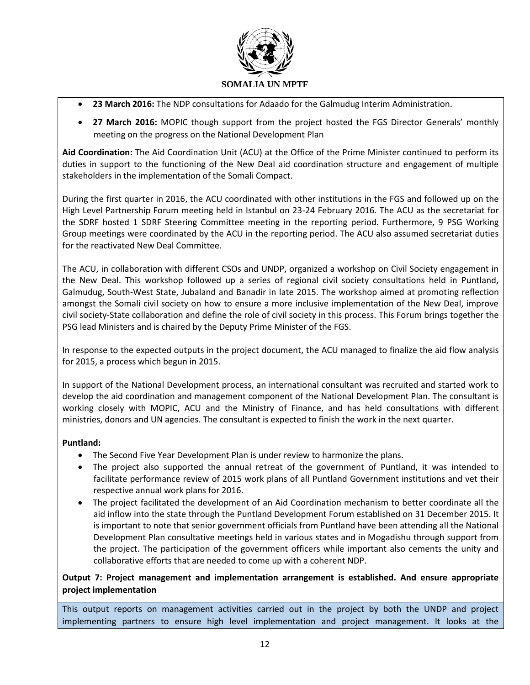

- **23 March 2016:** The NDP consultations for Adaado for the Galmudug Interim Administration.
- **27 March 2016:** MOPIC though support from the project hosted the FGS Director Generals' monthly meeting on the progress on the National Development Plan

**Aid Coordination:** The Aid Coordination Unit (ACU) at the Office of the Prime Minister continued to perform its duties in support to the functioning of the New Deal aid coordination structure and engagement of multiple stakeholders in the implementation of the Somali Compact.

During the first quarter in 2016, the ACU coordinated with other institutions in the FGS and followed up on the High Level Partnership Forum meeting held in Istanbul on 23-24 February 2016. The ACU as the secretariat for the SDRF hosted 1 SDRF Steering Committee meeting in the reporting period. Furthermore, 9 PSG Working Group meetings were coordinated by the ACU in the reporting period. The ACU also assumed secretariat duties for the reactivated New Deal Committee.

The ACU, in collaboration with different CSOs and UNDP, organized a workshop on Civil Society engagement in the New Deal. This workshop followed up a series of regional civil society consultations held in Puntland, Galmudug, South-West State, Jubaland and Banadir in late 2015. The workshop aimed at promoting reflection amongst the Somali civil society on how to ensure a more inclusive implementation of the New Deal, improve civil society-State collaboration and define the role of civil society in this process. This Forum brings together the PSG lead Ministers and is chaired by the Deputy Prime Minister of the FGS.

In response to the expected outputs in the project document, the ACU managed to finalize the aid flow analysis for 2015, a process which begun in 2015.

In support of the National Development process, an international consultant was recruited and started work to develop the aid coordination and management component of the National Development Plan. The consultant is working closely with MOPIC, ACU and the Ministry of Finance, and has held consultations with different ministries, donors and UN agencies. The consultant is expected to finish the work in the next quarter.

### **Puntland:**

- The Second Five Year Development Plan is under review to harmonize the plans.
- The project also supported the annual retreat of the government of Puntland, it was intended to facilitate performance review of 2015 work plans of all Puntland Government institutions and vet their respective annual work plans for 2016.
- The project facilitated the development of an Aid Coordination mechanism to better coordinate all the aid inflow into the state through the Puntland Development Forum established on 31 December 2015. It is important to note that senior government officials from Puntland have been attending all the National Development Plan consultative meetings held in various states and in Mogadishu through support from the project. The participation of the government officers while important also cements the unity and collaborative efforts that are needed to come up with a coherent NDP.

### **Output 7: Project management and implementation arrangement is established. And ensure appropriate project implementation**

This output reports on management activities carried out in the project by both the UNDP and project implementing partners to ensure high level implementation and project management. It looks at the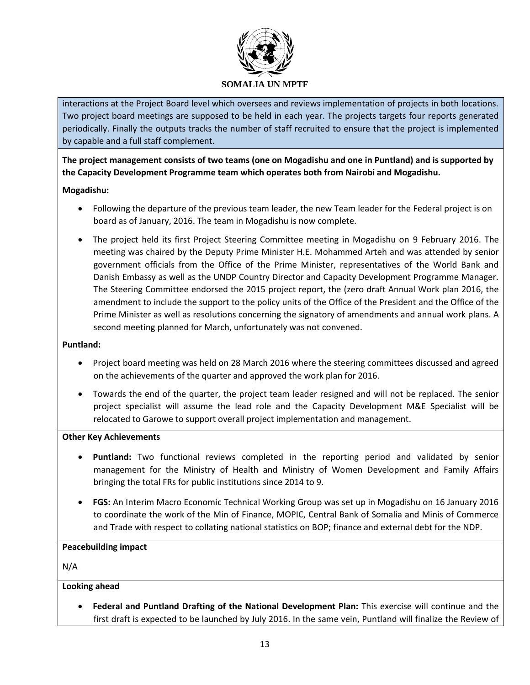

interactions at the Project Board level which oversees and reviews implementation of projects in both locations. Two project board meetings are supposed to be held in each year. The projects targets four reports generated periodically. Finally the outputs tracks the number of staff recruited to ensure that the project is implemented by capable and a full staff complement.

**The project management consists of two teams (one on Mogadishu and one in Puntland) and is supported by the Capacity Development Programme team which operates both from Nairobi and Mogadishu.**

### **Mogadishu:**

- Following the departure of the previous team leader, the new Team leader for the Federal project is on board as of January, 2016. The team in Mogadishu is now complete.
- The project held its first Project Steering Committee meeting in Mogadishu on 9 February 2016. The meeting was chaired by the Deputy Prime Minister H.E. Mohammed Arteh and was attended by senior government officials from the Office of the Prime Minister, representatives of the World Bank and Danish Embassy as well as the UNDP Country Director and Capacity Development Programme Manager. The Steering Committee endorsed the 2015 project report, the (zero draft Annual Work plan 2016, the amendment to include the support to the policy units of the Office of the President and the Office of the Prime Minister as well as resolutions concerning the signatory of amendments and annual work plans. A second meeting planned for March, unfortunately was not convened.

### **Puntland:**

- Project board meeting was held on 28 March 2016 where the steering committees discussed and agreed on the achievements of the quarter and approved the work plan for 2016.
- Towards the end of the quarter, the project team leader resigned and will not be replaced. The senior project specialist will assume the lead role and the Capacity Development M&E Specialist will be relocated to Garowe to support overall project implementation and management.

#### **Other Key Achievements**

- **Puntland:** Two functional reviews completed in the reporting period and validated by senior management for the Ministry of Health and Ministry of Women Development and Family Affairs bringing the total FRs for public institutions since 2014 to 9.
- **FGS:** An Interim Macro Economic Technical Working Group was set up in Mogadishu on 16 January 2016 to coordinate the work of the Min of Finance, MOPIC, Central Bank of Somalia and Minis of Commerce and Trade with respect to collating national statistics on BOP; finance and external debt for the NDP.

### **Peacebuilding impact**

N/A

### **Looking ahead**

 **Federal and Puntland Drafting of the National Development Plan:** This exercise will continue and the first draft is expected to be launched by July 2016. In the same vein, Puntland will finalize the Review of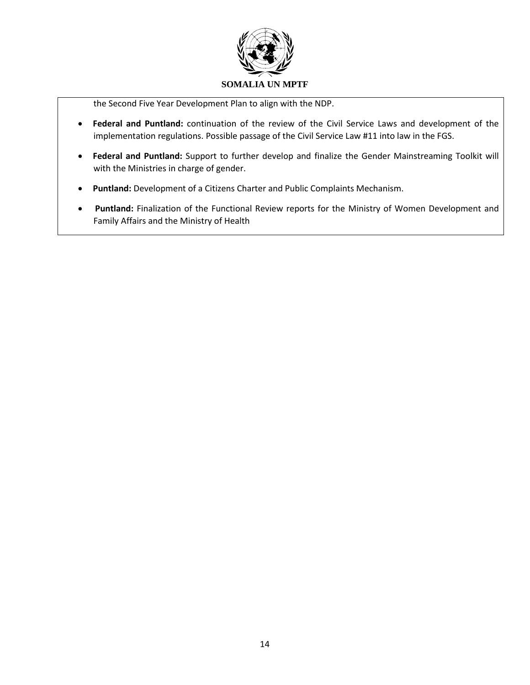

the Second Five Year Development Plan to align with the NDP.

- **Federal and Puntland:** continuation of the review of the Civil Service Laws and development of the implementation regulations. Possible passage of the Civil Service Law #11 into law in the FGS.
- **Federal and Puntland:** Support to further develop and finalize the Gender Mainstreaming Toolkit will with the Ministries in charge of gender.
- **Puntland:** Development of a Citizens Charter and Public Complaints Mechanism.
- **Puntland:** Finalization of the Functional Review reports for the Ministry of Women Development and Family Affairs and the Ministry of Health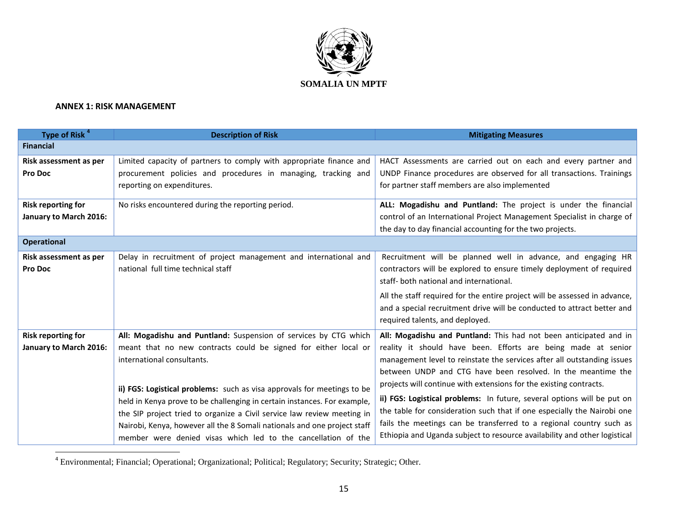

### **ANNEX 1: RISK MANAGEMENT**

| Type of Risk <sup>4</sup>                           | <b>Description of Risk</b>                                                                                                                                                                                                                                                                                                                                                                                                                                                                                                                       | <b>Mitigating Measures</b>                                                                                                                                                                                                                                                                                                                                                                                                                                                                                                                                                                                                                                    |
|-----------------------------------------------------|--------------------------------------------------------------------------------------------------------------------------------------------------------------------------------------------------------------------------------------------------------------------------------------------------------------------------------------------------------------------------------------------------------------------------------------------------------------------------------------------------------------------------------------------------|---------------------------------------------------------------------------------------------------------------------------------------------------------------------------------------------------------------------------------------------------------------------------------------------------------------------------------------------------------------------------------------------------------------------------------------------------------------------------------------------------------------------------------------------------------------------------------------------------------------------------------------------------------------|
| <b>Financial</b>                                    |                                                                                                                                                                                                                                                                                                                                                                                                                                                                                                                                                  |                                                                                                                                                                                                                                                                                                                                                                                                                                                                                                                                                                                                                                                               |
| Risk assessment as per<br>Pro Doc                   | Limited capacity of partners to comply with appropriate finance and<br>procurement policies and procedures in managing, tracking and<br>reporting on expenditures.                                                                                                                                                                                                                                                                                                                                                                               | HACT Assessments are carried out on each and every partner and<br>UNDP Finance procedures are observed for all transactions. Trainings<br>for partner staff members are also implemented                                                                                                                                                                                                                                                                                                                                                                                                                                                                      |
| <b>Risk reporting for</b><br>January to March 2016: | No risks encountered during the reporting period.                                                                                                                                                                                                                                                                                                                                                                                                                                                                                                | ALL: Mogadishu and Puntland: The project is under the financial<br>control of an International Project Management Specialist in charge of<br>the day to day financial accounting for the two projects.                                                                                                                                                                                                                                                                                                                                                                                                                                                        |
| <b>Operational</b>                                  |                                                                                                                                                                                                                                                                                                                                                                                                                                                                                                                                                  |                                                                                                                                                                                                                                                                                                                                                                                                                                                                                                                                                                                                                                                               |
| Risk assessment as per<br>Pro Doc                   | Delay in recruitment of project management and international and<br>national full time technical staff                                                                                                                                                                                                                                                                                                                                                                                                                                           | Recruitment will be planned well in advance, and engaging HR<br>contractors will be explored to ensure timely deployment of required<br>staff- both national and international.<br>All the staff required for the entire project will be assessed in advance,<br>and a special recruitment drive will be conducted to attract better and<br>required talents, and deployed.                                                                                                                                                                                                                                                                                   |
| <b>Risk reporting for</b><br>January to March 2016: | All: Mogadishu and Puntland: Suspension of services by CTG which<br>meant that no new contracts could be signed for either local or<br>international consultants.<br>ii) FGS: Logistical problems: such as visa approvals for meetings to be<br>held in Kenya prove to be challenging in certain instances. For example,<br>the SIP project tried to organize a Civil service law review meeting in<br>Nairobi, Kenya, however all the 8 Somali nationals and one project staff<br>member were denied visas which led to the cancellation of the | All: Mogadishu and Puntland: This had not been anticipated and in<br>reality it should have been. Efforts are being made at senior<br>management level to reinstate the services after all outstanding issues<br>between UNDP and CTG have been resolved. In the meantime the<br>projects will continue with extensions for the existing contracts.<br>ii) FGS: Logistical problems: In future, several options will be put on<br>the table for consideration such that if one especially the Nairobi one<br>fails the meetings can be transferred to a regional country such as<br>Ethiopia and Uganda subject to resource availability and other logistical |

4 Environmental; Financial; Operational; Organizational; Political; Regulatory; Security; Strategic; Other.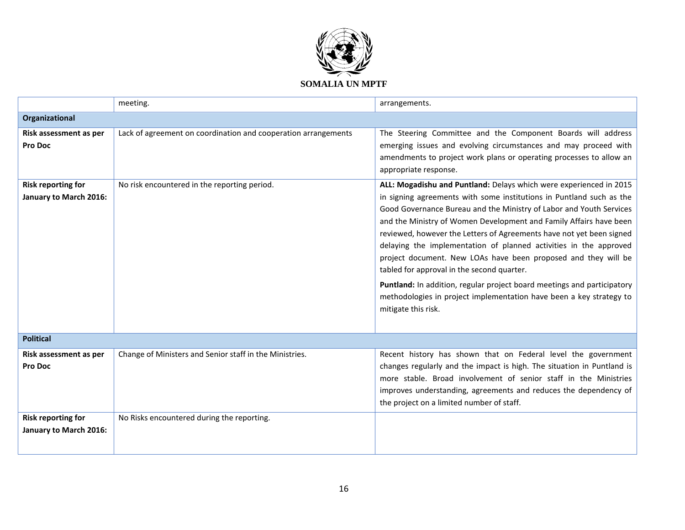

|                                                     | meeting.                                                       | arrangements.                                                                                                                                                                                                                                                                                                                                                                                                                                                                                                                                                                                                                                                                                                                 |
|-----------------------------------------------------|----------------------------------------------------------------|-------------------------------------------------------------------------------------------------------------------------------------------------------------------------------------------------------------------------------------------------------------------------------------------------------------------------------------------------------------------------------------------------------------------------------------------------------------------------------------------------------------------------------------------------------------------------------------------------------------------------------------------------------------------------------------------------------------------------------|
| Organizational                                      |                                                                |                                                                                                                                                                                                                                                                                                                                                                                                                                                                                                                                                                                                                                                                                                                               |
| Risk assessment as per<br><b>Pro Doc</b>            | Lack of agreement on coordination and cooperation arrangements | The Steering Committee and the Component Boards will address<br>emerging issues and evolving circumstances and may proceed with<br>amendments to project work plans or operating processes to allow an<br>appropriate response.                                                                                                                                                                                                                                                                                                                                                                                                                                                                                               |
| <b>Risk reporting for</b><br>January to March 2016: | No risk encountered in the reporting period.                   | ALL: Mogadishu and Puntland: Delays which were experienced in 2015<br>in signing agreements with some institutions in Puntland such as the<br>Good Governance Bureau and the Ministry of Labor and Youth Services<br>and the Ministry of Women Development and Family Affairs have been<br>reviewed, however the Letters of Agreements have not yet been signed<br>delaying the implementation of planned activities in the approved<br>project document. New LOAs have been proposed and they will be<br>tabled for approval in the second quarter.<br>Puntland: In addition, regular project board meetings and participatory<br>methodologies in project implementation have been a key strategy to<br>mitigate this risk. |
| <b>Political</b>                                    |                                                                |                                                                                                                                                                                                                                                                                                                                                                                                                                                                                                                                                                                                                                                                                                                               |
| Risk assessment as per<br><b>Pro Doc</b>            | Change of Ministers and Senior staff in the Ministries.        | Recent history has shown that on Federal level the government<br>changes regularly and the impact is high. The situation in Puntland is<br>more stable. Broad involvement of senior staff in the Ministries<br>improves understanding, agreements and reduces the dependency of<br>the project on a limited number of staff.                                                                                                                                                                                                                                                                                                                                                                                                  |
| <b>Risk reporting for</b><br>January to March 2016: | No Risks encountered during the reporting.                     |                                                                                                                                                                                                                                                                                                                                                                                                                                                                                                                                                                                                                                                                                                                               |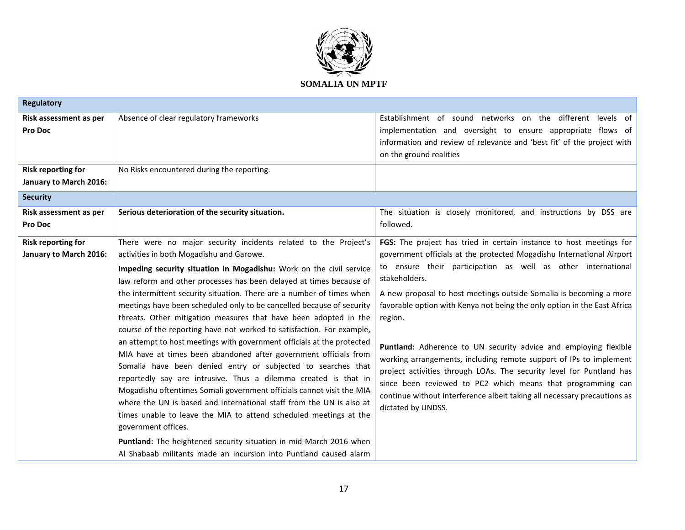

| <b>Regulatory</b>         |                                                                        |                                                                          |
|---------------------------|------------------------------------------------------------------------|--------------------------------------------------------------------------|
| Risk assessment as per    | Absence of clear regulatory frameworks                                 | Establishment of sound networks on the different levels of               |
| <b>Pro Doc</b>            |                                                                        | implementation and oversight to ensure appropriate flows of              |
|                           |                                                                        | information and review of relevance and 'best fit' of the project with   |
|                           |                                                                        | on the ground realities                                                  |
| <b>Risk reporting for</b> | No Risks encountered during the reporting.                             |                                                                          |
| January to March 2016:    |                                                                        |                                                                          |
| <b>Security</b>           |                                                                        |                                                                          |
| Risk assessment as per    | Serious deterioration of the security situation.                       | The situation is closely monitored, and instructions by DSS are          |
| <b>Pro Doc</b>            |                                                                        | followed.                                                                |
| <b>Risk reporting for</b> | There were no major security incidents related to the Project's        | FGS: The project has tried in certain instance to host meetings for      |
| January to March 2016:    | activities in both Mogadishu and Garowe.                               | government officials at the protected Mogadishu International Airport    |
|                           | Impeding security situation in Mogadishu: Work on the civil service    | to ensure their participation as well as other international             |
|                           | law reform and other processes has been delayed at times because of    | stakeholders.                                                            |
|                           | the intermittent security situation. There are a number of times when  | A new proposal to host meetings outside Somalia is becoming a more       |
|                           | meetings have been scheduled only to be cancelled because of security  | favorable option with Kenya not being the only option in the East Africa |
|                           | threats. Other mitigation measures that have been adopted in the       | region.                                                                  |
|                           | course of the reporting have not worked to satisfaction. For example,  |                                                                          |
|                           | an attempt to host meetings with government officials at the protected | Puntland: Adherence to UN security advice and employing flexible         |
|                           | MIA have at times been abandoned after government officials from       | working arrangements, including remote support of IPs to implement       |
|                           | Somalia have been denied entry or subjected to searches that           | project activities through LOAs. The security level for Puntland has     |
|                           | reportedly say are intrusive. Thus a dilemma created is that in        | since been reviewed to PC2 which means that programming can              |
|                           | Mogadishu oftentimes Somali government officials cannot visit the MIA  | continue without interference albeit taking all necessary precautions as |
|                           | where the UN is based and international staff from the UN is also at   | dictated by UNDSS.                                                       |
|                           | times unable to leave the MIA to attend scheduled meetings at the      |                                                                          |
|                           | government offices.                                                    |                                                                          |
|                           | Puntland: The heightened security situation in mid-March 2016 when     |                                                                          |
|                           | Al Shabaab militants made an incursion into Puntland caused alarm      |                                                                          |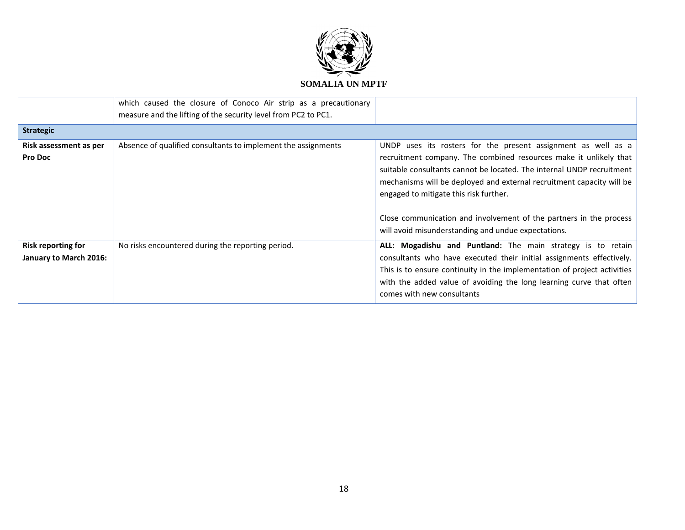

|                                                     | which caused the closure of Conoco Air strip as a precautionary<br>measure and the lifting of the security level from PC2 to PC1. |                                                                                                                                                                                                                                                                                                                                                                                                      |
|-----------------------------------------------------|-----------------------------------------------------------------------------------------------------------------------------------|------------------------------------------------------------------------------------------------------------------------------------------------------------------------------------------------------------------------------------------------------------------------------------------------------------------------------------------------------------------------------------------------------|
| <b>Strategic</b>                                    |                                                                                                                                   |                                                                                                                                                                                                                                                                                                                                                                                                      |
| Risk assessment as per<br><b>Pro Doc</b>            | Absence of qualified consultants to implement the assignments                                                                     | UNDP uses its rosters for the present assignment as well as a<br>recruitment company. The combined resources make it unlikely that<br>suitable consultants cannot be located. The internal UNDP recruitment<br>mechanisms will be deployed and external recruitment capacity will be<br>engaged to mitigate this risk further.<br>Close communication and involvement of the partners in the process |
| <b>Risk reporting for</b><br>January to March 2016: | No risks encountered during the reporting period.                                                                                 | will avoid misunderstanding and undue expectations.<br>ALL: Mogadishu and Puntland: The main strategy is to retain<br>consultants who have executed their initial assignments effectively.<br>This is to ensure continuity in the implementation of project activities<br>with the added value of avoiding the long learning curve that often<br>comes with new consultants                          |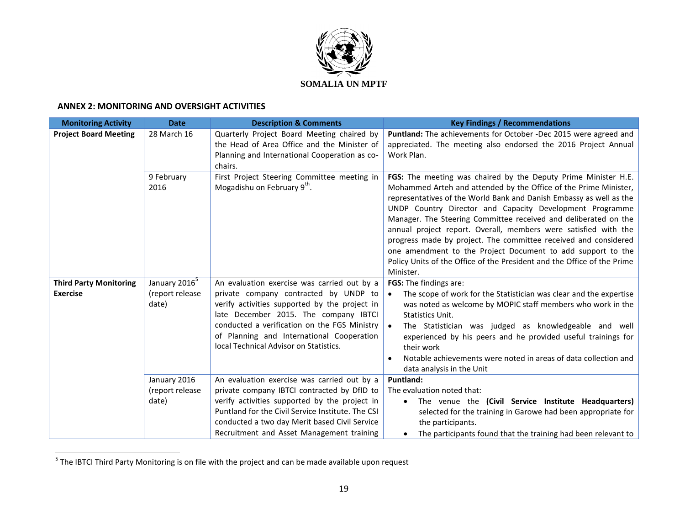

#### **ANNEX 2: MONITORING AND OVERSIGHT ACTIVITIES**

| <b>Monitoring Activity</b>                       | <b>Date</b>                                           | <b>Description &amp; Comments</b>                                                                                                                                                                                                                                                                                     | <b>Key Findings / Recommendations</b>                                                                                                                                                                                                                                                                                                                                                                                                                                                                                                                                                                                                 |  |  |
|--------------------------------------------------|-------------------------------------------------------|-----------------------------------------------------------------------------------------------------------------------------------------------------------------------------------------------------------------------------------------------------------------------------------------------------------------------|---------------------------------------------------------------------------------------------------------------------------------------------------------------------------------------------------------------------------------------------------------------------------------------------------------------------------------------------------------------------------------------------------------------------------------------------------------------------------------------------------------------------------------------------------------------------------------------------------------------------------------------|--|--|
| <b>Project Board Meeting</b>                     | 28 March 16                                           | Quarterly Project Board Meeting chaired by<br>the Head of Area Office and the Minister of<br>Planning and International Cooperation as co-<br>chairs.                                                                                                                                                                 | Puntland: The achievements for October -Dec 2015 were agreed and<br>appreciated. The meeting also endorsed the 2016 Project Annual<br>Work Plan.                                                                                                                                                                                                                                                                                                                                                                                                                                                                                      |  |  |
|                                                  | 9 February<br>2016                                    | First Project Steering Committee meeting in<br>Mogadishu on February 9th.                                                                                                                                                                                                                                             | FGS: The meeting was chaired by the Deputy Prime Minister H.E.<br>Mohammed Arteh and attended by the Office of the Prime Minister,<br>representatives of the World Bank and Danish Embassy as well as the<br>UNDP Country Director and Capacity Development Programme<br>Manager. The Steering Committee received and deliberated on the<br>annual project report. Overall, members were satisfied with the<br>progress made by project. The committee received and considered<br>one amendment to the Project Document to add support to the<br>Policy Units of the Office of the President and the Office of the Prime<br>Minister. |  |  |
| <b>Third Party Monitoring</b><br><b>Exercise</b> | January 2016 <sup>5</sup><br>(report release<br>date) | An evaluation exercise was carried out by a<br>private company contracted by UNDP to<br>verify activities supported by the project in<br>late December 2015. The company IBTCI<br>conducted a verification on the FGS Ministry<br>of Planning and International Cooperation<br>local Technical Advisor on Statistics. | <b>FGS:</b> The findings are:<br>The scope of work for the Statistician was clear and the expertise<br>$\bullet$<br>was noted as welcome by MOPIC staff members who work in the<br>Statistics Unit.<br>The Statistician was judged as knowledgeable and well<br>$\bullet$<br>experienced by his peers and he provided useful trainings for<br>their work<br>Notable achievements were noted in areas of data collection and<br>data analysis in the Unit                                                                                                                                                                              |  |  |
|                                                  | January 2016<br>(report release<br>date)              | An evaluation exercise was carried out by a<br>private company IBTCI contracted by DfID to<br>verify activities supported by the project in<br>Puntland for the Civil Service Institute. The CSI<br>conducted a two day Merit based Civil Service<br>Recruitment and Asset Management training                        | Puntland:<br>The evaluation noted that:<br>The venue the (Civil Service Institute Headquarters)<br>selected for the training in Garowe had been appropriate for<br>the participants.<br>The participants found that the training had been relevant to                                                                                                                                                                                                                                                                                                                                                                                 |  |  |

 5 The IBTCI Third Party Monitoring is on file with the project and can be made available upon request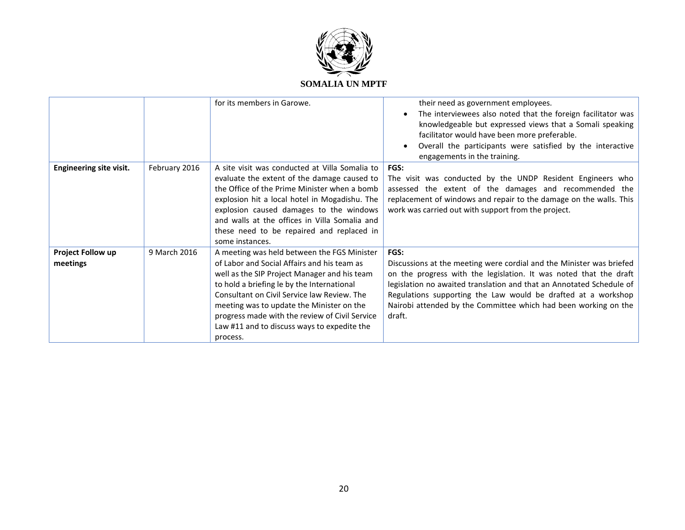

|                                |               | for its members in Garowe.                                                                                                                                                                                                                                                                                                                                                                        | their need as government employees.<br>The interviewees also noted that the foreign facilitator was<br>knowledgeable but expressed views that a Somali speaking<br>facilitator would have been more preferable.<br>Overall the participants were satisfied by the interactive                                                                                           |
|--------------------------------|---------------|---------------------------------------------------------------------------------------------------------------------------------------------------------------------------------------------------------------------------------------------------------------------------------------------------------------------------------------------------------------------------------------------------|-------------------------------------------------------------------------------------------------------------------------------------------------------------------------------------------------------------------------------------------------------------------------------------------------------------------------------------------------------------------------|
| <b>Engineering site visit.</b> | February 2016 | A site visit was conducted at Villa Somalia to<br>evaluate the extent of the damage caused to<br>the Office of the Prime Minister when a bomb<br>explosion hit a local hotel in Mogadishu. The<br>explosion caused damages to the windows<br>and walls at the offices in Villa Somalia and<br>these need to be repaired and replaced in<br>some instances.                                        | engagements in the training.<br><b>FGS:</b><br>The visit was conducted by the UNDP Resident Engineers who<br>assessed the extent of the damages and recommended the<br>replacement of windows and repair to the damage on the walls. This<br>work was carried out with support from the project.                                                                        |
| Project Follow up<br>meetings  | 9 March 2016  | A meeting was held between the FGS Minister<br>of Labor and Social Affairs and his team as<br>well as the SIP Project Manager and his team<br>to hold a briefing le by the International<br>Consultant on Civil Service law Review. The<br>meeting was to update the Minister on the<br>progress made with the review of Civil Service<br>Law #11 and to discuss ways to expedite the<br>process. | FGS:<br>Discussions at the meeting were cordial and the Minister was briefed<br>on the progress with the legislation. It was noted that the draft<br>legislation no awaited translation and that an Annotated Schedule of<br>Regulations supporting the Law would be drafted at a workshop<br>Nairobi attended by the Committee which had been working on the<br>draft. |